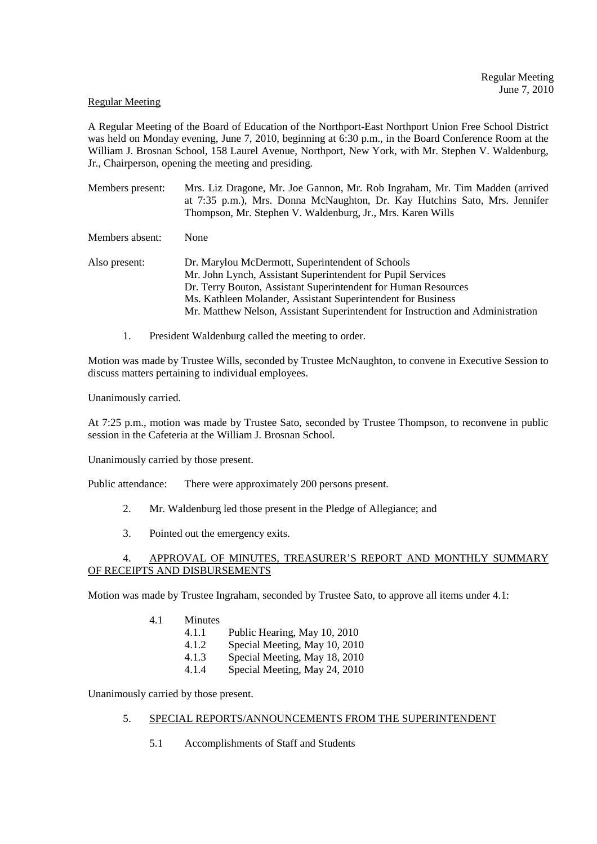#### Regular Meeting

A Regular Meeting of the Board of Education of the Northport-East Northport Union Free School District was held on Monday evening, June 7, 2010, beginning at 6:30 p.m., in the Board Conference Room at the William J. Brosnan School, 158 Laurel Avenue, Northport, New York, with Mr. Stephen V. Waldenburg, Jr., Chairperson, opening the meeting and presiding.

Members present: Mrs. Liz Dragone, Mr. Joe Gannon, Mr. Rob Ingraham, Mr. Tim Madden (arrived at 7:35 p.m.), Mrs. Donna McNaughton, Dr. Kay Hutchins Sato, Mrs. Jennifer Thompson, Mr. Stephen V. Waldenburg, Jr., Mrs. Karen Wills

Members absent: None

Also present: Dr. Marylou McDermott, Superintendent of Schools Mr. John Lynch, Assistant Superintendent for Pupil Services Dr. Terry Bouton, Assistant Superintendent for Human Resources Ms. Kathleen Molander, Assistant Superintendent for Business Mr. Matthew Nelson, Assistant Superintendent for Instruction and Administration

1. President Waldenburg called the meeting to order.

Motion was made by Trustee Wills, seconded by Trustee McNaughton, to convene in Executive Session to discuss matters pertaining to individual employees.

Unanimously carried.

At 7:25 p.m., motion was made by Trustee Sato, seconded by Trustee Thompson, to reconvene in public session in the Cafeteria at the William J. Brosnan School.

Unanimously carried by those present.

Public attendance: There were approximately 200 persons present.

- 2. Mr. Waldenburg led those present in the Pledge of Allegiance; and
- 3. Pointed out the emergency exits.

## 4. APPROVAL OF MINUTES, TREASURER'S REPORT AND MONTHLY SUMMARY OF RECEIPTS AND DISBURSEMENTS

Motion was made by Trustee Ingraham, seconded by Trustee Sato, to approve all items under 4.1:

- 4.1 Minutes
	- 4.1.1 Public Hearing, May 10, 2010
	- 4.1.2 Special Meeting, May 10, 2010
	- 4.1.3 Special Meeting, May 18, 2010
	- 4.1.4 Special Meeting, May 24, 2010

Unanimously carried by those present.

## 5. SPECIAL REPORTS/ANNOUNCEMENTS FROM THE SUPERINTENDENT

5.1 Accomplishments of Staff and Students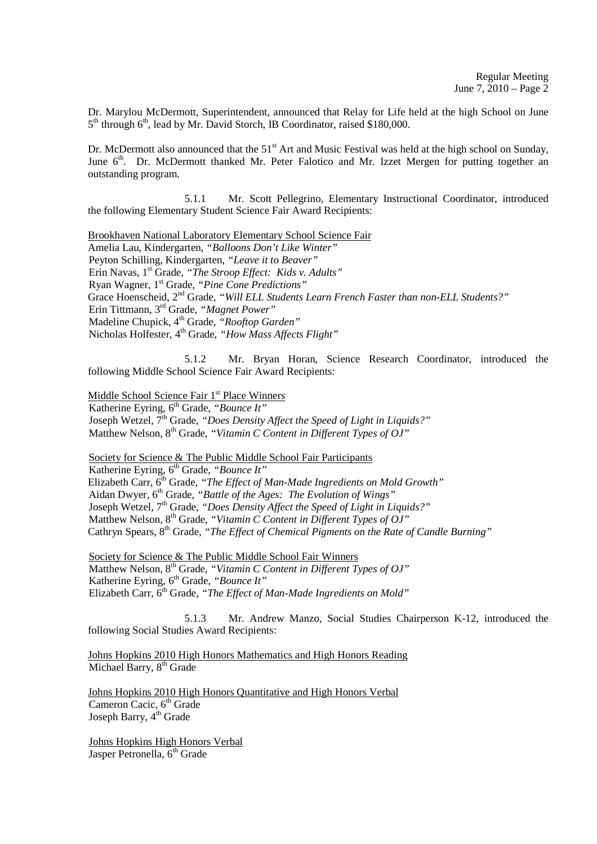Dr. Marylou McDermott, Superintendent, announced that Relay for Life held at the high School on June 5<sup>th</sup> through 6<sup>th</sup>, lead by Mr. David Storch, IB Coordinator, raised \$180,000.

Dr. McDermott also announced that the  $51<sup>st</sup>$  Art and Music Festival was held at the high school on Sunday, June 6<sup>th</sup>. Dr. McDermott thanked Mr. Peter Falotico and Mr. Izzet Mergen for putting together an outstanding program.

 5.1.1 Mr. Scott Pellegrino, Elementary Instructional Coordinator, introduced the following Elementary Student Science Fair Award Recipients:

Brookhaven National Laboratory Elementary School Science Fair Amelia Lau, Kindergarten, *"Balloons Don't Like Winter"* Peyton Schilling, Kindergarten, *"Leave it to Beaver"* Erin Navas, 1st Grade, *"The Stroop Effect: Kids v. Adults"* Ryan Wagner, 1st Grade, *"Pine Cone Predictions"* Grace Hoenscheid, 2<sup>nd</sup> Grade, *"Will ELL Students Learn French Faster than non-ELL Students?"*  Erin Tittmann, 3rd Grade, *"Magnet Power"* Madeline Chupick, 4<sup>th</sup> Grade, "Rooftop Garden" Nicholas Holfester, 4<sup>th</sup> Grade, "How Mass Affects Flight"

 5.1.2 Mr. Bryan Horan, Science Research Coordinator, introduced the following Middle School Science Fair Award Recipients:

Middle School Science Fair 1<sup>st</sup> Place Winners

Katherine Eyring, 6<sup>th</sup> Grade, "Bounce It" Joseph Wetzel, 7<sup>th</sup> Grade, *"Does Density Affect the Speed of Light in Liquids?"* Matthew Nelson, 8<sup>th</sup> Grade, "Vitamin C Content in Different Types of OJ"

Society for Science & The Public Middle School Fair Participants

Katherine Eyring, 6<sup>th</sup> Grade, "Bounce It" Elizabeth Carr, 6<sup>th</sup> Grade, "The Effect of Man-Made Ingredients on Mold Growth" Aidan Dwyer, 6<sup>th</sup> Grade, "Battle of the Ages: The Evolution of Wings" Joseph Wetzel, 7<sup>th</sup> Grade, "Does Density Affect the Speed of Light in Liquids?" Matthew Nelson, 8<sup>th</sup> Grade, "Vitamin C Content in Different Types of OJ" Cathryn Spears, 8<sup>th</sup> Grade, "The Effect of Chemical Pigments on the Rate of Candle Burning"

 Society for Science & The Public Middle School Fair Winners Matthew Nelson, 8<sup>th</sup> Grade, "Vitamin C Content in Different Types of OJ" Katherine Eyring, 6<sup>th</sup> Grade, "Bounce It" Elizabeth Carr, 6th Grade, *"The Effect of Man-Made Ingredients on Mold"*

 5.1.3 Mr. Andrew Manzo, Social Studies Chairperson K-12, introduced the following Social Studies Award Recipients:

Johns Hopkins 2010 High Honors Mathematics and High Honors Reading Michael Barry,  $8<sup>th</sup>$  Grade

Johns Hopkins 2010 High Honors Quantitative and High Honors Verbal Cameron Cacic, 6<sup>th</sup> Grade Joseph Barry, 4<sup>th</sup> Grade

 Johns Hopkins High Honors Verbal Jasper Petronella, 6<sup>th</sup> Grade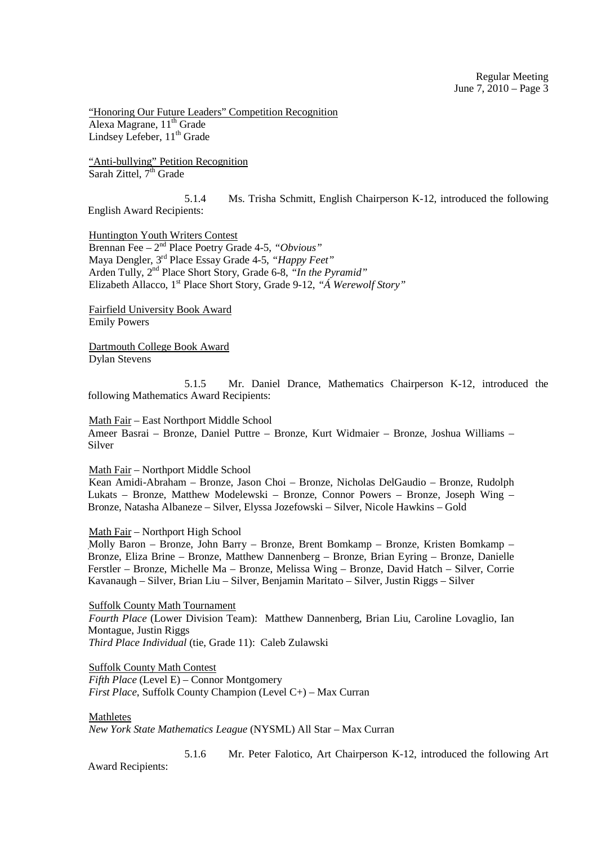"Honoring Our Future Leaders" Competition Recognition Alexa Magrane, 11<sup>th</sup> Grade Lindsey Lefeber, 11<sup>th</sup> Grade

 "Anti-bullying" Petition Recognition Sarah Zittel,  $7<sup>th</sup>$  Grade

 5.1.4 Ms. Trisha Schmitt, English Chairperson K-12, introduced the following English Award Recipients:

 Huntington Youth Writers Contest Brennan Fee – 2nd Place Poetry Grade 4-5, *"Obvious"* Maya Dengler, 3rd Place Essay Grade 4-5, *"Happy Feet"* Arden Tully, 2nd Place Short Story, Grade 6-8, *"In the Pyramid"* Elizabeth Allacco, 1st Place Short Story, Grade 9-12, *"Á Werewolf Story"* 

 Fairfield University Book Award Emily Powers

 Dartmouth College Book Award Dylan Stevens

 5.1.5 Mr. Daniel Drance, Mathematics Chairperson K-12, introduced the following Mathematics Award Recipients:

 Math Fair – East Northport Middle School Ameer Basrai – Bronze, Daniel Puttre – Bronze, Kurt Widmaier – Bronze, Joshua Williams – Silver

Math Fair – Northport Middle School

 Kean Amidi-Abraham – Bronze, Jason Choi – Bronze, Nicholas DelGaudio – Bronze, Rudolph Lukats – Bronze, Matthew Modelewski – Bronze, Connor Powers – Bronze, Joseph Wing – Bronze, Natasha Albaneze – Silver, Elyssa Jozefowski – Silver, Nicole Hawkins – Gold

#### Math Fair – Northport High School

Molly Baron – Bronze, John Barry – Bronze, Brent Bomkamp – Bronze, Kristen Bomkamp – Bronze, Eliza Brine – Bronze, Matthew Dannenberg – Bronze, Brian Eyring – Bronze, Danielle Ferstler – Bronze, Michelle Ma – Bronze, Melissa Wing – Bronze, David Hatch – Silver, Corrie Kavanaugh – Silver, Brian Liu – Silver, Benjamin Maritato – Silver, Justin Riggs – Silver

Suffolk County Math Tournament

*Fourth Place* (Lower Division Team): Matthew Dannenberg, Brian Liu, Caroline Lovaglio, Ian Montague, Justin Riggs  *Third Place Individual* (tie, Grade 11): Caleb Zulawski

 Suffolk County Math Contest *Fifth Place* (Level E) – Connor Montgomery  *First Place*, Suffolk County Champion (Level C+) – Max Curran

#### Mathletes

*New York State Mathematics League* (NYSML) All Star – Max Curran

5.1.6 Mr. Peter Falotico, Art Chairperson K-12, introduced the following Art

Award Recipients: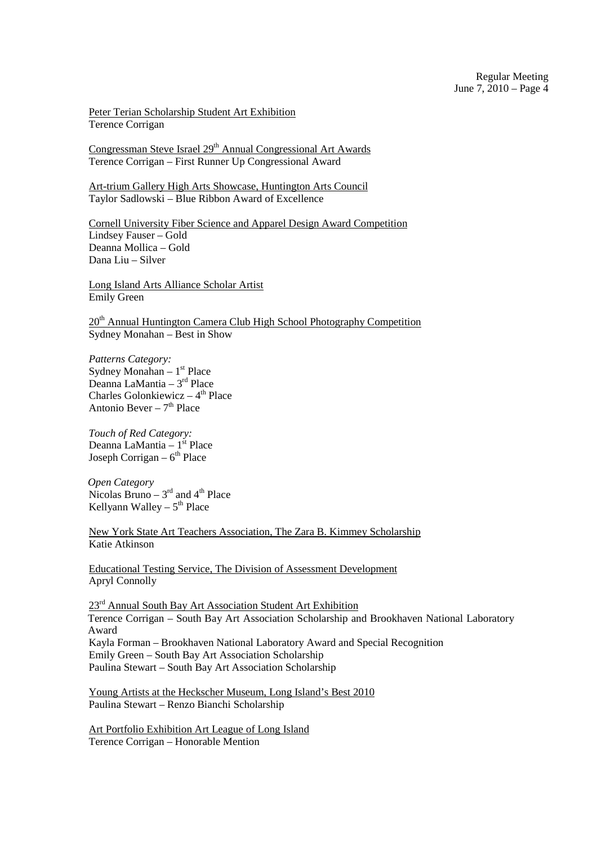Peter Terian Scholarship Student Art Exhibition Terence Corrigan

Congressman Steve Israel 29<sup>th</sup> Annual Congressional Art Awards Terence Corrigan – First Runner Up Congressional Award

 Art-trium Gallery High Arts Showcase, Huntington Arts Council Taylor Sadlowski – Blue Ribbon Award of Excellence

 Cornell University Fiber Science and Apparel Design Award Competition Lindsey Fauser – Gold Deanna Mollica – Gold Dana Liu – Silver

 Long Island Arts Alliance Scholar Artist Emily Green

20<sup>th</sup> Annual Huntington Camera Club High School Photography Competition Sydney Monahan – Best in Show

*Patterns Category:* Sydney Monahan –  $1<sup>st</sup>$  Place Deanna LaMantia –  $3<sup>rd</sup>$  Place Charles Golonkiewicz –  $4<sup>th</sup>$  Place Antonio Bever –  $7<sup>th</sup>$  Place

*Touch of Red Category:* Deanna LaMantia –  $1<sup>st</sup>$  Place Joseph Corrigan –  $6<sup>th</sup>$  Place

*Open Category* Nicolas Bruno –  $3<sup>rd</sup>$  and  $4<sup>th</sup>$  Place Kellyann Walley –  $5<sup>th</sup>$  Place

 New York State Art Teachers Association, The Zara B. Kimmey Scholarship Katie Atkinson

 Educational Testing Service, The Division of Assessment Development Apryl Connolly

23<sup>rd</sup> Annual South Bay Art Association Student Art Exhibition Terence Corrigan – South Bay Art Association Scholarship and Brookhaven National Laboratory Award Kayla Forman – Brookhaven National Laboratory Award and Special Recognition Emily Green – South Bay Art Association Scholarship Paulina Stewart – South Bay Art Association Scholarship

 Young Artists at the Heckscher Museum, Long Island's Best 2010 Paulina Stewart – Renzo Bianchi Scholarship

 Art Portfolio Exhibition Art League of Long Island Terence Corrigan – Honorable Mention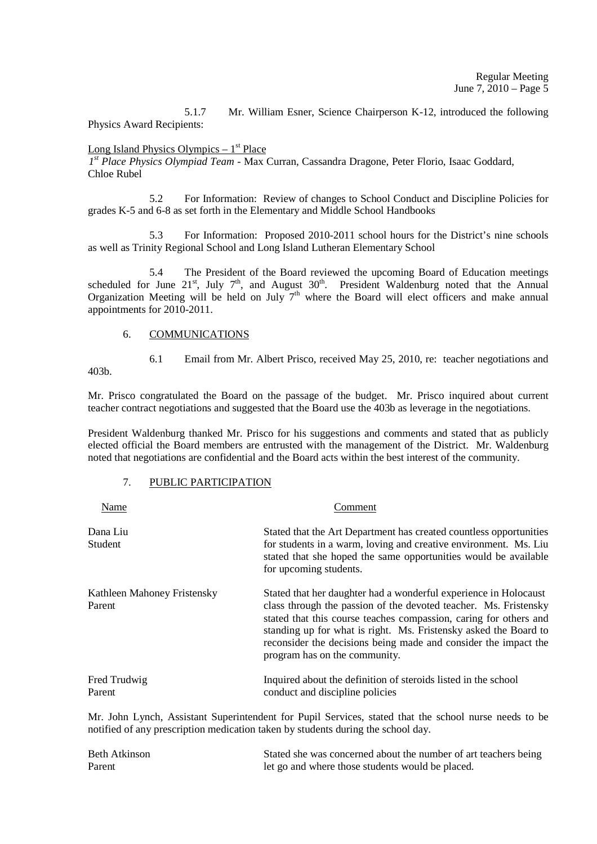5.1.7 Mr. William Esner, Science Chairperson K-12, introduced the following Physics Award Recipients:

# Long Island Physics Olympics  $-1<sup>st</sup>$  Place

*1 st Place Physics Olympiad Team* - Max Curran, Cassandra Dragone, Peter Florio, Isaac Goddard, Chloe Rubel

 5.2 For Information: Review of changes to School Conduct and Discipline Policies for grades K-5 and 6-8 as set forth in the Elementary and Middle School Handbooks

 5.3 For Information: Proposed 2010-2011 school hours for the District's nine schools as well as Trinity Regional School and Long Island Lutheran Elementary School

 5.4 The President of the Board reviewed the upcoming Board of Education meetings scheduled for June  $21^{st}$ , July  $7^{th}$ , and August  $30^{th}$ . President Waldenburg noted that the Annual Organization Meeting will be held on July  $7<sup>th</sup>$  where the Board will elect officers and make annual appointments for 2010-2011.

# 6. COMMUNICATIONS

6.1 Email from Mr. Albert Prisco, received May 25, 2010, re: teacher negotiations and

403b.

Mr. Prisco congratulated the Board on the passage of the budget. Mr. Prisco inquired about current teacher contract negotiations and suggested that the Board use the 403b as leverage in the negotiations.

President Waldenburg thanked Mr. Prisco for his suggestions and comments and stated that as publicly elected official the Board members are entrusted with the management of the District. Mr. Waldenburg noted that negotiations are confidential and the Board acts within the best interest of the community.

# 7. PUBLIC PARTICIPATION

| Name                                  | Comment                                                                                                                                                                                                                                                                                                                                                                           |  |  |
|---------------------------------------|-----------------------------------------------------------------------------------------------------------------------------------------------------------------------------------------------------------------------------------------------------------------------------------------------------------------------------------------------------------------------------------|--|--|
| Dana Liu<br>Student                   | Stated that the Art Department has created countless opportunities<br>for students in a warm, loving and creative environment. Ms. Liu<br>stated that she hoped the same opportunities would be available<br>for upcoming students.                                                                                                                                               |  |  |
| Kathleen Mahoney Fristensky<br>Parent | Stated that her daughter had a wonderful experience in Holocaust<br>class through the passion of the devoted teacher. Ms. Fristensky<br>stated that this course teaches compassion, caring for others and<br>standing up for what is right. Ms. Fristensky asked the Board to<br>reconsider the decisions being made and consider the impact the<br>program has on the community. |  |  |
| Fred Trudwig<br>Parent                | Inquired about the definition of steroids listed in the school<br>conduct and discipline policies                                                                                                                                                                                                                                                                                 |  |  |

Mr. John Lynch, Assistant Superintendent for Pupil Services, stated that the school nurse needs to be notified of any prescription medication taken by students during the school day.

| Beth Atkinson | Stated she was concerned about the number of art teachers being |
|---------------|-----------------------------------------------------------------|
| Parent        | let go and where those students would be placed.                |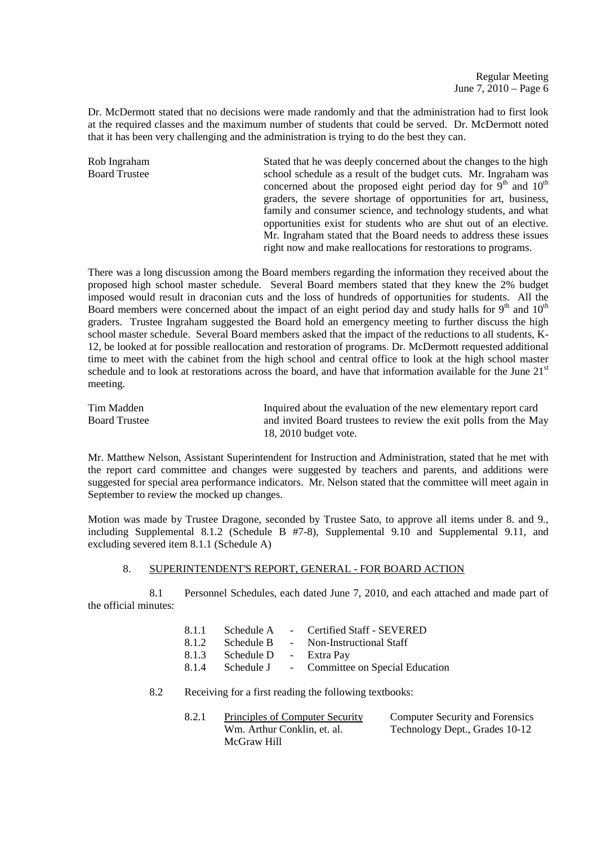Dr. McDermott stated that no decisions were made randomly and that the administration had to first look at the required classes and the maximum number of students that could be served. Dr. McDermott noted that it has been very challenging and the administration is trying to do the best they can.

Rob Ingraham Stated that he was deeply concerned about the changes to the high Board Trustee school schedule as a result of the budget cuts. Mr. Ingraham was concerned about the proposed eight period day for  $9<sup>th</sup>$  and  $10<sup>th</sup>$ graders, the severe shortage of opportunities for art, business, family and consumer science, and technology students, and what opportunities exist for students who are shut out of an elective. Mr. Ingraham stated that the Board needs to address these issues right now and make reallocations for restorations to programs.

There was a long discussion among the Board members regarding the information they received about the proposed high school master schedule. Several Board members stated that they knew the 2% budget imposed would result in draconian cuts and the loss of hundreds of opportunities for students. All the Board members were concerned about the impact of an eight period day and study halls for  $9<sup>th</sup>$  and  $10<sup>th</sup>$ graders. Trustee Ingraham suggested the Board hold an emergency meeting to further discuss the high school master schedule. Several Board members asked that the impact of the reductions to all students, K-12, be looked at for possible reallocation and restoration of programs. Dr. McDermott requested additional time to meet with the cabinet from the high school and central office to look at the high school master schedule and to look at restorations across the board, and have that information available for the June  $21<sup>st</sup>$ meeting.

| Tim Madden           | Inquired about the evaluation of the new elementary report card  |
|----------------------|------------------------------------------------------------------|
| <b>Board Trustee</b> | and invited Board trustees to review the exit polls from the May |
|                      | 18, 2010 budget vote.                                            |

Mr. Matthew Nelson, Assistant Superintendent for Instruction and Administration, stated that he met with the report card committee and changes were suggested by teachers and parents, and additions were suggested for special area performance indicators. Mr. Nelson stated that the committee will meet again in September to review the mocked up changes.

Motion was made by Trustee Dragone, seconded by Trustee Sato, to approve all items under 8. and 9., including Supplemental 8.1.2 (Schedule B #7-8), Supplemental 9.10 and Supplemental 9.11, and excluding severed item 8.1.1 (Schedule A)

#### 8. SUPERINTENDENT'S REPORT, GENERAL - FOR BOARD ACTION

 8.1 Personnel Schedules, each dated June 7, 2010, and each attached and made part of the official minutes:

|       |                        | 8.1.1 Schedule A - Certified Staff - SEVERED      |
|-------|------------------------|---------------------------------------------------|
| 8.1.2 |                        | Schedule B - Non-Instructional Staff              |
| 8.1.3 | Schedule D - Extra Pay |                                                   |
|       |                        | 8.1.4 Schedule J - Committee on Special Education |

8.2 Receiving for a first reading the following textbooks:

| Principles of Computer Security | <b>Computer Security and Forensics</b> |
|---------------------------------|----------------------------------------|
| Wm. Arthur Conklin, et. al.     | Technology Dept., Grades 10-12         |
| McGraw Hill                     |                                        |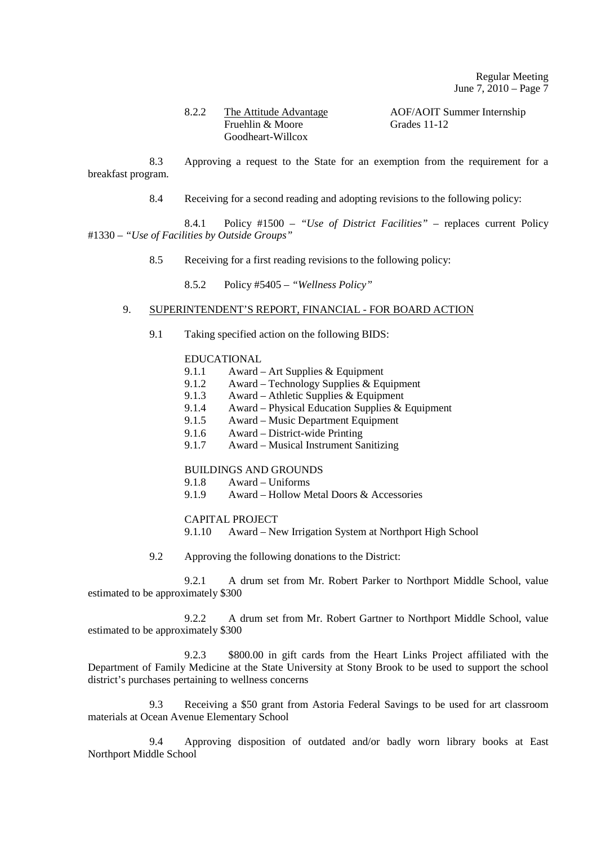#### 8.2.2 The Attitude Advantage AOF/AOIT Summer Internship Fruehlin & Moore Grades 11-12 Goodheart-Willcox

 8.3 Approving a request to the State for an exemption from the requirement for a breakfast program.

8.4 Receiving for a second reading and adopting revisions to the following policy:

 8.4.1 Policy #1500 – *"Use of District Facilities"* – replaces current Policy #1330 – *"Use of Facilities by Outside Groups"* 

- 8.5 Receiving for a first reading revisions to the following policy:
	- 8.5.2 Policy #5405 *"Wellness Policy"*

## 9. SUPERINTENDENT'S REPORT, FINANCIAL - FOR BOARD ACTION

9.1 Taking specified action on the following BIDS:

## EDUCATIONAL

- 9.1.1 Award Art Supplies & Equipment<br>9.1.2 Award Technology Supplies & Equ
- 9.1.2 Award Technology Supplies & Equipment
- 9.1.3 Award Athletic Supplies & Equipment
- 9.1.4 Award Physical Education Supplies & Equipment
- 9.1.5 Award Music Department Equipment
- 9.1.6 Award District-wide Printing<br>9.1.7 Award Musical Instrument Sa
- 9.1.7 Award Musical Instrument Sanitizing

# **BUILDINGS AND GROUNDS**<br>9.1.8 Award – Uniforms

- 9.1.8 Award Uniforms
- 9.1.9 Award Hollow Metal Doors & Accessories

#### CAPITAL PROJECT

9.1.10 Award – New Irrigation System at Northport High School

9.2 Approving the following donations to the District:

 9.2.1 A drum set from Mr. Robert Parker to Northport Middle School, value estimated to be approximately \$300

 9.2.2 A drum set from Mr. Robert Gartner to Northport Middle School, value estimated to be approximately \$300

 9.2.3 \$800.00 in gift cards from the Heart Links Project affiliated with the Department of Family Medicine at the State University at Stony Brook to be used to support the school district's purchases pertaining to wellness concerns

 9.3 Receiving a \$50 grant from Astoria Federal Savings to be used for art classroom materials at Ocean Avenue Elementary School

 9.4 Approving disposition of outdated and/or badly worn library books at East Northport Middle School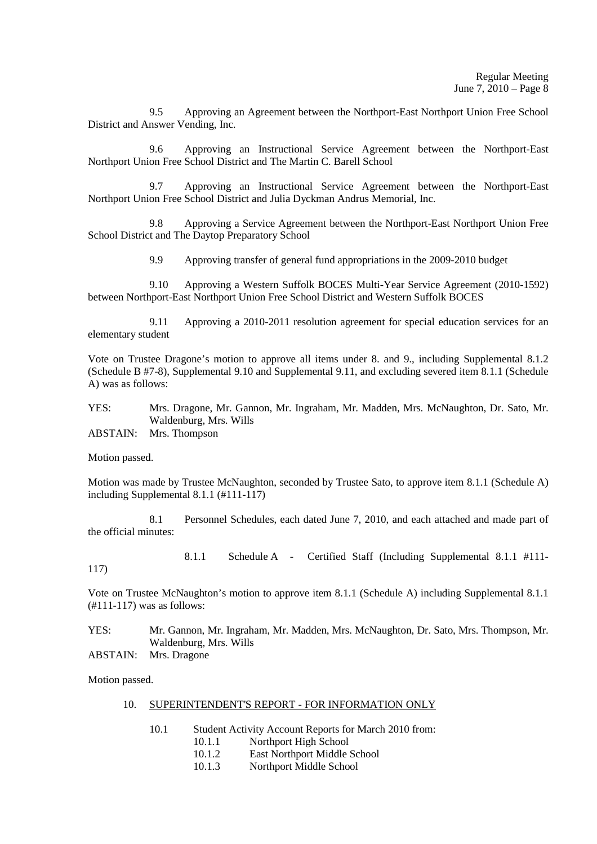9.5 Approving an Agreement between the Northport-East Northport Union Free School District and Answer Vending, Inc.

 9.6 Approving an Instructional Service Agreement between the Northport-East Northport Union Free School District and The Martin C. Barell School

 9.7 Approving an Instructional Service Agreement between the Northport-East Northport Union Free School District and Julia Dyckman Andrus Memorial, Inc.

 9.8 Approving a Service Agreement between the Northport-East Northport Union Free School District and The Daytop Preparatory School

9.9 Approving transfer of general fund appropriations in the 2009-2010 budget

 9.10 Approving a Western Suffolk BOCES Multi-Year Service Agreement (2010-1592) between Northport-East Northport Union Free School District and Western Suffolk BOCES

 9.11 Approving a 2010-2011 resolution agreement for special education services for an elementary student

Vote on Trustee Dragone's motion to approve all items under 8. and 9., including Supplemental 8.1.2 (Schedule B #7-8), Supplemental 9.10 and Supplemental 9.11, and excluding severed item 8.1.1 (Schedule A) was as follows:

YES: Mrs. Dragone, Mr. Gannon, Mr. Ingraham, Mr. Madden, Mrs. McNaughton, Dr. Sato, Mr. Waldenburg, Mrs. Wills

ABSTAIN: Mrs. Thompson

Motion passed.

Motion was made by Trustee McNaughton, seconded by Trustee Sato, to approve item 8.1.1 (Schedule A) including Supplemental 8.1.1 (#111-117)

 8.1 Personnel Schedules, each dated June 7, 2010, and each attached and made part of the official minutes:

8.1.1 Schedule A - Certified Staff (Including Supplemental 8.1.1 #111-

117)

Vote on Trustee McNaughton's motion to approve item 8.1.1 (Schedule A) including Supplemental 8.1.1 (#111-117) was as follows:

YES: Mr. Gannon, Mr. Ingraham, Mr. Madden, Mrs. McNaughton, Dr. Sato, Mrs. Thompson, Mr. Waldenburg, Mrs. Wills

ABSTAIN: Mrs. Dragone

Motion passed.

#### 10. SUPERINTENDENT'S REPORT - FOR INFORMATION ONLY

- 10.1 Student Activity Account Reports for March 2010 from:<br>10.1.1 Northport High School
	- Northport High School
	- 10.1.2 East Northport Middle School
	- 10.1.3 Northport Middle School